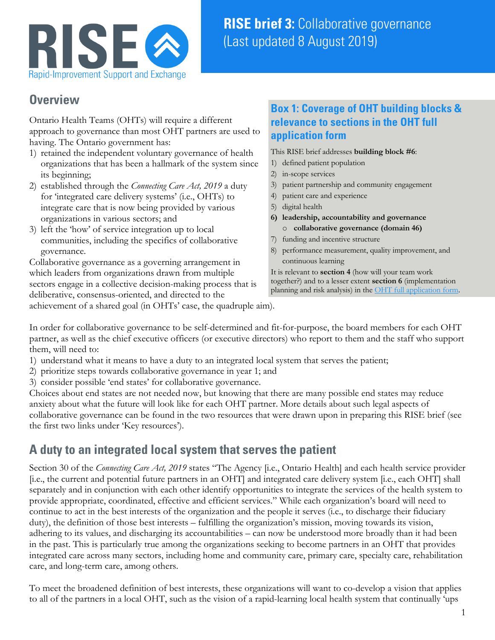

#### **Overview**

Ontario Health Teams (OHTs) will require a different approach to governance than most OHT partners are used to having. The Ontario government has:

- 1) retained the independent voluntary governance of health organizations that has been a hallmark of the system since its beginning;
- 2) established through the *Connecting Care Act, 2019* a duty for 'integrated care delivery systems' (i.e., OHTs) to integrate care that is now being provided by various organizations in various sectors; and
- 3) left the 'how' of service integration up to local communities, including the specifics of collaborative governance.

Collaborative governance as a governing arrangement in which leaders from organizations drawn from multiple sectors engage in a collective decision-making process that is deliberative, consensus-oriented, and directed to the achievement of a shared goal (in OHTs' case, the quadruple aim).

#### **Box 1: Coverage of OHT building blocks & relevance to sections in the OHT full application form**

This RISE brief addresses **building block #6**:

- 1) defined patient population
- 2) in-scope services
- 3) patient partnership and community engagement
- 4) patient care and experience
- 5) digital health
- **6) leadership, accountability and governance** o **collaborative governance (domain 46)**
- 7) funding and incentive structure
- 8) performance measurement, quality improvement, and continuous learning

It is relevant to **section 4** (how will your team work together?) and to a lesser extent **section 6** (implementation planning and risk analysis) in th[e OHT full application form.](http://health.gov.on.ca/en/pro/programs/connectedcare/oht/docs/OHT_Full_Application_EN.pdf)

In order for collaborative governance to be self-determined and fit-for-purpose, the board members for each OHT partner, as well as the chief executive officers (or executive directors) who report to them and the staff who support

them, will need to:

- 1) understand what it means to have a duty to an integrated local system that serves the patient;
- 2) prioritize steps towards collaborative governance in year 1; and
- 3) consider possible 'end states' for collaborative governance.

Choices about end states are not needed now, but knowing that there are many possible end states may reduce anxiety about what the future will look like for each OHT partner. More details about such legal aspects of collaborative governance can be found in the two resources that were drawn upon in preparing this RISE brief (see the first two links under 'Key resources').

## **A duty to an integrated local system that serves the patient**

Section 30 of the *Connecting Care Act, 2019* states "The Agency [i.e., Ontario Health] and each health service provider [i.e., the current and potential future partners in an OHT] and integrated care delivery system [i.e., each OHT] shall separately and in conjunction with each other identify opportunities to integrate the services of the health system to provide appropriate, coordinated, effective and efficient services." While each organization's board will need to continue to act in the best interests of the organization and the people it serves (i.e., to discharge their fiduciary duty), the definition of those best interests – fulfilling the organization's mission, moving towards its vision, adhering to its values, and discharging its accountabilities – can now be understood more broadly than it had been in the past. This is particularly true among the organizations seeking to become partners in an OHT that provides integrated care across many sectors, including home and community care, primary care, specialty care, rehabilitation care, and long-term care, among others.

To meet the broadened definition of best interests, these organizations will want to co-develop a vision that applies to all of the partners in a local OHT, such as the vision of a rapid-learning local health system that continually 'ups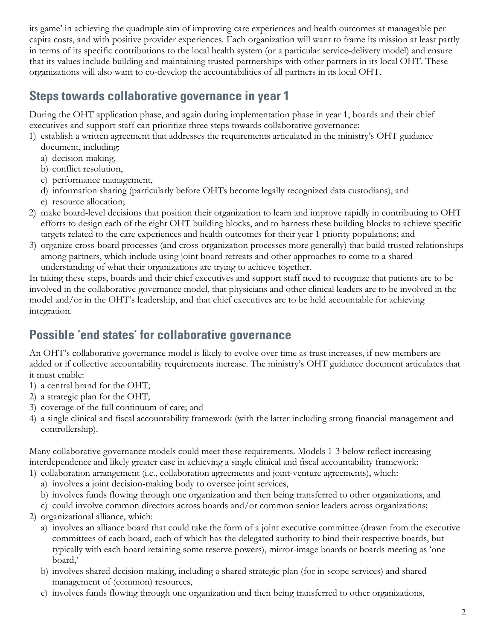its game' in achieving the quadruple aim of improving care experiences and health outcomes at manageable per capita costs, and with positive provider experiences. Each organization will want to frame its mission at least partly in terms of its specific contributions to the local health system (or a particular service-delivery model) and ensure that its values include building and maintaining trusted partnerships with other partners in its local OHT. These organizations will also want to co-develop the accountabilities of all partners in its local OHT.

## **Steps towards collaborative governance in year 1**

During the OHT application phase, and again during implementation phase in year 1, boards and their chief executives and support staff can prioritize three steps towards collaborative governance:

- 1) establish a written agreement that addresses the requirements articulated in the ministry's OHT guidance document, including:
	- a) decision-making,
	- b) conflict resolution,
	- c) performance management,
	- d) information sharing (particularly before OHTs become legally recognized data custodians), and
	- e) resource allocation;
- 2) make board-level decisions that position their organization to learn and improve rapidly in contributing to OHT efforts to design each of the eight OHT building blocks, and to harness these building blocks to achieve specific targets related to the care experiences and health outcomes for their year 1 priority populations; and
- 3) organize cross-board processes (and cross-organization processes more generally) that build trusted relationships among partners, which include using joint board retreats and other approaches to come to a shared understanding of what their organizations are trying to achieve together.

In taking these steps, boards and their chief executives and support staff need to recognize that patients are to be involved in the collaborative governance model, that physicians and other clinical leaders are to be involved in the model and/or in the OHT's leadership, and that chief executives are to be held accountable for achieving integration.

# **Possible 'end states' for collaborative governance**

An OHT's collaborative governance model is likely to evolve over time as trust increases, if new members are added or if collective accountability requirements increase. The ministry's OHT guidance document articulates that it must enable:

- 1) a central brand for the OHT;
- 2) a strategic plan for the OHT;
- 3) coverage of the full continuum of care; and
- 4) a single clinical and fiscal accountability framework (with the latter including strong financial management and controllership).

Many collaborative governance models could meet these requirements. Models 1-3 below reflect increasing interdependence and likely greater ease in achieving a single clinical and fiscal accountability framework:

- 1) collaboration arrangement (i.e., collaboration agreements and joint-venture agreements), which:
	- a) involves a joint decision-making body to oversee joint services,
	- b) involves funds flowing through one organization and then being transferred to other organizations, and
	- c) could involve common directors across boards and/or common senior leaders across organizations;
- 2) organizational alliance, which:
	- a) involves an alliance board that could take the form of a joint executive committee (drawn from the executive committees of each board, each of which has the delegated authority to bind their respective boards, but typically with each board retaining some reserve powers), mirror-image boards or boards meeting as 'one board,'
	- b) involves shared decision-making, including a shared strategic plan (for in-scope services) and shared management of (common) resources,
	- c) involves funds flowing through one organization and then being transferred to other organizations,